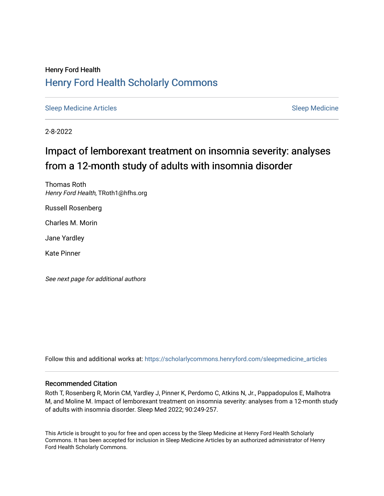## Henry Ford Health [Henry Ford Health Scholarly Commons](https://scholarlycommons.henryford.com/)

[Sleep Medicine Articles](https://scholarlycommons.henryford.com/sleepmedicine_articles) [Sleep Medicine](https://scholarlycommons.henryford.com/sleepmedicine) Sleep Medicine

2-8-2022

# Impact of lemborexant treatment on insomnia severity: analyses from a 12-month study of adults with insomnia disorder

Thomas Roth Henry Ford Health, TRoth1@hfhs.org

Russell Rosenberg

Charles M. Morin

Jane Yardley

Kate Pinner

See next page for additional authors

Follow this and additional works at: [https://scholarlycommons.henryford.com/sleepmedicine\\_articles](https://scholarlycommons.henryford.com/sleepmedicine_articles?utm_source=scholarlycommons.henryford.com%2Fsleepmedicine_articles%2F157&utm_medium=PDF&utm_campaign=PDFCoverPages) 

### Recommended Citation

Roth T, Rosenberg R, Morin CM, Yardley J, Pinner K, Perdomo C, Atkins N, Jr., Pappadopulos E, Malhotra M, and Moline M. Impact of lemborexant treatment on insomnia severity: analyses from a 12-month study of adults with insomnia disorder. Sleep Med 2022; 90:249-257.

This Article is brought to you for free and open access by the Sleep Medicine at Henry Ford Health Scholarly Commons. It has been accepted for inclusion in Sleep Medicine Articles by an authorized administrator of Henry Ford Health Scholarly Commons.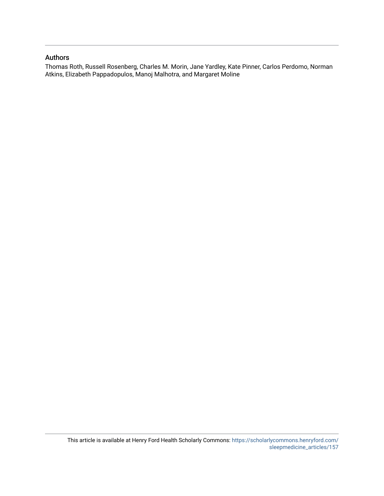### Authors

Thomas Roth, Russell Rosenberg, Charles M. Morin, Jane Yardley, Kate Pinner, Carlos Perdomo, Norman Atkins, Elizabeth Pappadopulos, Manoj Malhotra, and Margaret Moline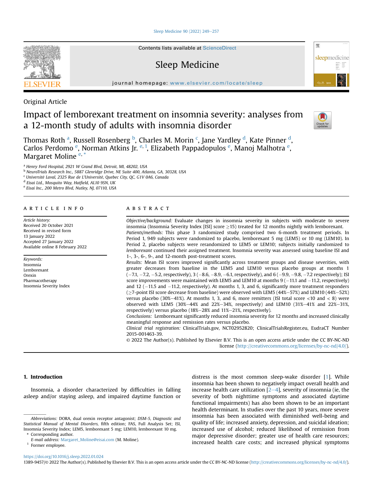[Sleep Medicine 90 \(2022\) 249](https://doi.org/10.1016/j.sleep.2022.01.024)-[257](https://doi.org/10.1016/j.sleep.2022.01.024)

Contents lists available at ScienceDirect

## Sleep Medicine



journal homepage: <www.elsevier.com/locate/sleep>

Original Article

## Impact of lemborexant treatment on insomnia severity: analyses from a 12-month study of adults with insomnia disorder



Thom[a](#page-2-0)s Roth <sup>a</sup>, Russell Rosen[b](#page-2-1)erg <sup>b</sup>, Charles M. Morin <sup>[c](#page-2-2)</sup>, Jane Yar[d](#page-2-3)ley <sup>d</sup>, Kate Pinner <sup>d</sup>, Carlos P[e](#page-2-4)rdomo <sup>e</sup>, Norman Atkins Jr. <sup>[e,](#page-2-4) [1](#page-2-5)</sup>, Elizabeth Pappadopulos <sup>e</sup>, Manoj Malhotra <sup>e</sup>, Margaret Moline<sup>[e,](#page-2-4)[\\*](#page-2-6)</sup>

<span id="page-2-0"></span><sup>a</sup> Henry Ford Hospital, 2921 W Grand Blvd, Detroit, MI, 48202, USA

<span id="page-2-1"></span><sup>b</sup> NeuroTrials Research Inc., 5887 Glenridge Drive, NE Suite 400, Atlanta, GA, 30328, USA

<span id="page-2-2"></span><sup>c</sup> Université Laval, 2325 Rue de L'Université, Quebec City, QC, G1V 0A6, Canada

<span id="page-2-3"></span><sup>d</sup> Eisai Ltd., Mosquito Way, Hatfield, AL10 9SN, UK

<span id="page-2-4"></span><sup>e</sup> Eisai Inc., 200 Metro Blvd, Nutley, NJ, 07110, USA

#### article info

Article history: Received 20 October 2021 Received in revised form 13 January 2022 Accepted 27 January 2022 Available online 8 February 2022

Keywords: Insomnia Lemborexant Orexin Pharmacotherapy Insomnia Severity Index

### ABSTRACT

Objective/background: Evaluate changes in insomnia severity in subjects with moderate to severe insomnia (Insomnia Severity Index [ISI] score  $>15$ ) treated for 12 months nightly with lemborexant. Patients/methods: This phase 3 randomized study comprised two 6-month treatment periods. In Period 1, 949 subjects were randomized to placebo, lemborexant 5 mg (LEM5) or 10 mg (LEM10). In Period 2, placebo subjects were rerandomized to LEM5 or LEM10; subjects initially randomized to lemborexant continued their assigned treatment. Insomnia severity was assessed using baseline ISI and 1-, 3-, 6-, 9-, and 12-month post-treatment scores. Results: Mean ISI scores improved significantly across treatment groups and disease severities, with greater decreases from baseline in the LEM5 and LEM10 versus placebo groups at months 1  $(-7.1, -7.2, -5.2,$  respectively),  $3 (-8.6, -8.9, -6.1,$  respectively), and  $6 (-9.9, -9.8, -7.2$  respectively); ISI score improvements were maintained with LEM5 and LEM10 at months  $9(-11.1$  and  $-11.2$ , respectively) and 12  $(-11.5$  and  $-11.2$ , respectively). At months 1, 3, and 6, significantly more treatment responders  $(\geq$ 7-point ISI score decrease from baseline) were observed with LEM5 (44%-57%) and LEM10 (44%-52%) versus placebo (30%-41%). At months 1, 3, and 6, more remitters (ISI total score  $\langle 10 \text{ and } \langle 8 \rangle$  were observed with LEM5 (30%-44% and 22%-34%, respectively) and LEM10 (31%-41% and 22%-31%, respectively) versus placebo (18%-28% and 11%-21%, respectively). Conclusions: Lemborexant significantly reduced insomnia severity for 12 months and increased clinically meaningful response and remission rates versus placebo. Clinical trial registration: ClinicalTrials.gov, NCT02952820; ClinicalTrialsRegister.eu, EudraCT Number 2015-001463-39. © 2022 The Author(s). Published by Elsevier B.V. This is an open access article under the CC BY-NC-ND

1. Introduction

Insomnia, a disorder characterized by difficulties in falling asleep and/or staying asleep, and impaired daytime function or

distress is the most common sleep-wake disorder [\[1\]](#page-9-0). While insomnia has been shown to negatively impact overall health and increase health care utilization  $[2-4]$  $[2-4]$  $[2-4]$  $[2-4]$  $[2-4]$ , severity of insomnia (ie, the severity of both nighttime symptoms and associated daytime functional impairments) has also been shown to be an important health determinant. In studies over the past 10 years, more severe insomnia has been associated with diminished well-being and quality of life; increased anxiety, depression, and suicidal ideation; increased use of alcohol; reduced likelihood of remission from major depressive disorder; greater use of health care resources; increased health care costs; and increased physical symptoms

license [\(http://creativecommons.org/licenses/by-nc-nd/4.0/](http://creativecommons.org/licenses/by-nc-nd/4.0/)).

<https://doi.org/10.1016/j.sleep.2022.01.024>

Abbreviations: DORA, dual orexin receptor antagonist; DSM-5, Diagnostic and Statistical Manual of Mental Disorders, fifth edition; FAS, Full Analysis Set; ISI, Insomnia Severity Index; LEM5, lemborexant 5 mg; LEM10, lemborexant 10 mg. \* Corresponding author.

<span id="page-2-6"></span>E-mail address: [Margaret\\_Moline@eisai.com](mailto:Margaret_Moline@eisai.com) (M. Moline).

<span id="page-2-5"></span><sup>&</sup>lt;sup>1</sup> Former employee.

<sup>1389-9457/</sup>© 2022 The Author(s). Published by Elsevier B.V. This is an open access article under the CC BY-NC-ND license [\(http://creativecommons.org/licenses/by-nc-nd/4.0/\)](http://creativecommons.org/licenses/by-nc-nd/4.0/).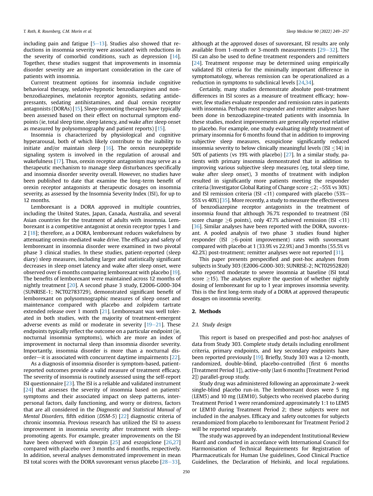including pain and fatigue  $[5-13]$  $[5-13]$  $[5-13]$  $[5-13]$  $[5-13]$ . Studies also showed that reductions in insomnia severity were associated with reductions in the severity of comorbid conditions, such as depression [[14\]](#page-9-3). Together, these studies suggest that improvements in insomnia disorder severity are an important consideration in the care of patients with insomnia.

Current treatment options for insomnia include cognitive behavioral therapy, sedative-hypnotic benzodiazepines and nonbenzodiazepines, melatonin receptor agonists, sedating antidepressants, sedating antihistamines, and dual orexin receptor antagonists (DORAs) [\[15](#page-9-4)]. Sleep-promoting therapies have typically been assessed based on their effect on nocturnal symptom endpoints (ie, total sleep time, sleep latency, and wake after sleep onset as measured by polysomnography and patient reports) [\[15](#page-9-4)].

Insomnia is characterized by physiological and cognitive hyperarousal, both of which likely contribute to the inability to initiate and/or maintain sleep [[16\]](#page-9-5). The orexin neuropeptide signaling system is involved in the regulation of arousal and wakefulness [\[17](#page-9-6)]. Thus, orexin receptor antagonism may serve as a therapeutic mechanism to manage sleep disturbances specifically and insomnia disorder severity overall. However, no studies have been published to date that examine the long-term benefit of orexin receptor antagonists at therapeutic dosages on insomnia severity, as assessed by the Insomnia Severity Index (ISI), for up to 12 months.

Lemborexant is a DORA approved in multiple countries, including the United States, Japan, Canada, Australia, and several Asian countries for the treatment of adults with insomnia. Lemborexant is a competitive antagonist at orexin receptor types 1 and 2 [[18\]](#page-9-7); therefore, as a DORA, lemborexant reduces wakefulness by attenuating orexin-mediated wake drive. The efficacy and safety of lemborexant in insomnia disorder were examined in two pivotal phase 3 clinical studies. In these studies, patient-reported (sleep diary) sleep measures, including larger and statistically significant decreases in sleep onset latency and wake after sleep onset, were observed over 6 months comparing lemborexant with placebo [[19\]](#page-9-8). The benefits of lemborexant were maintained across 12 months of nightly treatment [[20](#page-9-9)]. A second phase 3 study, E2006-G000-304 (SUNRISE-1; NCT02783729), demonstrated significant benefit of lemborexant on polysomnographic measures of sleep onset and maintenance compared with placebo and zolpidem tartrate extended release over 1 month [[21\]](#page-9-10). Lemborexant was well tolerated in both studies, with the majority of treatment-emergent adverse events as mild or moderate in severity  $[19-21]$  $[19-21]$  $[19-21]$  $[19-21]$ . These endpoints typically reflect the outcome on a particular endpoint (ie, nocturnal insomnia symptoms), which are more an index of improvement in nocturnal sleep than insomnia disorder severity. Importantly, insomnia disorder is more than a nocturnal disorder—it is associated with concurrent daytime impairments  $[22]$ .

As a diagnosis of insomnia disorder is symptom-based, patientreported outcomes provide a valid measure of treatment efficacy. The severity of insomnia is routinely assessed using the self-report ISI questionnaire [[23](#page-10-1)]. The ISI is a reliable and validated instrument [[24\]](#page-10-2) that assesses the severity of insomnia based on patients' symptoms and their associated impact on sleep patterns, interpersonal factors, daily functioning, and worry or distress, factors that are all considered in the Diagnostic and Statistical Manual of Mental Disorders, fifth edition (DSM-5) [[22](#page-10-0)] diagnostic criteria of chronic insomnia. Previous research has utilized the ISI to assess improvement in insomnia severity after treatment with sleeppromoting agents. For example, greater improvements on the ISI have been observed with doxepin [\[25\]](#page-10-3) and eszopiclone [\[26,](#page-10-4)[27\]](#page-10-5) compared with placebo over 3 months and 6 months, respectively. In addition, several analyses demonstrated improvement in mean ISI total scores with the DORA suvorexant versus placebo  $[28-33]$  $[28-33]$  $[28-33]$  $[28-33]$ ,

although at the approved doses of suvorexant, ISI results are only available from 1-month or 3-month measurements  $[29-32]$  $[29-32]$  $[29-32]$  $[29-32]$ . The ISI can also be used to define treatment responders and remitters [[24\]](#page-10-2). Treatment response may be determined using empirically validated ISI criteria for the minimally important difference in symptomatology, whereas remission can be operationalized as a reduction in symptoms to subclinical levels [[24,](#page-10-2)[34](#page-10-8)].

Certainly, many studies demonstrate absolute post-treatment differences in ISI scores as a measure of treatment efficacy; however, few studies evaluate responder and remission rates in patients with insomnia. Perhaps most responder and remitter analyses have been done in benzodiazepine-treated patients with insomnia. In these studies, modest improvements are generally reported relative to placebo. For example, one study evaluating nightly treatment of primary insomnia for 6 months found that in addition to improving subjective sleep measures, eszopiclone significantly reduced insomnia severity to below clinically meaningful levels (ISI  $\leq$ 14) in 50% of patients (vs 19% with placebo) [[27\]](#page-10-5). In a similar study, patients with primary insomnia demonstrated that in addition to improving various subjective sleep measures (eg, total sleep time, wake after sleep onset), 3 months of treatment with indiplon resulted in significantly more patients meeting the responder criteria (Investigator Global Rating of Change score  $\leq$ 2; ~55% vs 30%) and ISI remission criteria (ISI  $<$ 11) compared with placebo (53%– 55% vs 40%) [\[35\]](#page-10-9). More recently, a study to measure the effectiveness of benzodiazepine receptor antagonists in the treatment of insomnia found that although 76.7% responded to treatment (ISI score change  $>6$  points), only 47.7% achieved remission (ISI  $<$ 11) [\[36\]](#page-10-10). Similar analyses have been reported with the DORA, suvorexant. A pooled analysis of two phase 3 studies found higher responder (ISI  $>6$ -point improvement) rates with suvorexant compared with placebo at 1 (33.9% vs 22.9%) and 3 months (55.5% vs 42.2%) post-treatment; remitter analyses were not reported [[31\]](#page-10-11).

This paper presents prespecified and post-hoc analyses from subjects in Study 303 (E2006-G000-303; SUNRISE-2; NCT02952820) who reported moderate to severe insomnia at baseline (ISI total score  $>$ 15). The analyses explore the question of whether nightly dosing of lemborexant for up to 1 year improves insomnia severity. This is the first long-term study of a DORA at approved therapeutic dosages on insomnia severity.

#### 2. Methods

#### 2.1. Study design

This report is based on prespecified and post-hoc analyses of data from Study 303. Complete study details including enrollment criteria, primary endpoints, and key secondary endpoints have been reported previously [[19\]](#page-9-8). Briefly, Study 303 was a 12-month, randomized, double-blind, placebo-controlled (first 6 months [Treatment Period 1]), active-only (last 6 months [Treatment Period 2]) parallel-group study.

Study drug was administered following an approximate 2-week single-blind placebo run-in. The lemborexant doses were 5 mg (LEM5) and 10 mg (LEM10). Subjects who received placebo during Treatment Period 1 were rerandomized approximately 1:1 to LEM5 or LEM10 during Treatment Period 2; these subjects were not included in the analyses. Efficacy and safety outcomes for subjects rerandomized from placebo to lemborexant for Treatment Period 2 will be reported separately.

The study was approved by an independent Institutional Review Board and conducted in accordance with International Council for Harmonisation of Technical Requirements for Registration of Pharmaceuticals for Human Use guidelines, Good Clinical Practice Guidelines, the Declaration of Helsinki, and local regulations.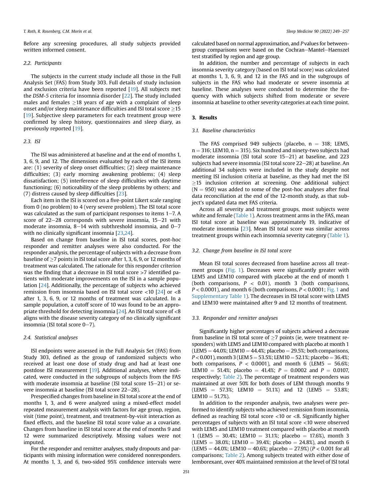Before any screening procedures, all study subjects provided written informed consent.

#### 2.2. Participants

The subjects in the current study include all those in the Full Analysis Set (FAS) from Study 303. Full details of study inclusion and exclusion criteria have been reported [[19](#page-9-8)]. All subjects met the DSM-5 criteria for insomnia disorder [\[22](#page-10-0)]. The study included males and females  $>18$  years of age with a complaint of sleep onset and/or sleep maintenance difficulties and ISI total score >15 [[19\]](#page-9-8). Subjective sleep parameters for each treatment group were confirmed by sleep history, questionnaires and sleep diary, as previously reported [\[19](#page-9-8)].

#### 2.3. ISI

The ISI was administered at baseline and at the end of months 1, 3, 6, 9, and 12. The dimensions evaluated by each of the ISI items are: (1) severity of sleep onset difficulties; (2) sleep maintenance difficulties; (3) early morning awakening problems; (4) sleep dissatisfaction; (5) interference of sleep difficulties with daytime functioning; (6) noticeability of the sleep problems by others; and (7) distress caused by sleep difficulties [\[23\]](#page-10-1).

Each item in the ISI is scored on a five-point Likert scale ranging from 0 (no problem) to 4 (very severe problem). The ISI total score was calculated as the sum of participant responses to items  $1-7$ . A score of  $22-28$  corresponds with severe insomnia,  $15-21$  with moderate insomnia,  $8-14$  with subthreshold insomnia, and  $0-7$ with no clinically significant insomnia [[23](#page-10-1),[24](#page-10-2)].

Based on change from baseline in ISI total scores, post-hoc responder and remitter analyses were also conducted. For the responder analysis, the percentage of subjects with a decrease from baseline of  $\geq$ 7 points in ISI total score after 1, 3, 6, 9, or 12 months of treatment was calculated. The rationale for this responder criterion was the finding that a decrease in ISI total score >7 identified patients with moderate improvements on the ISI in a sample population [\[24](#page-10-2)]. Additionally, the percentage of subjects who achieved remission from insomnia based on ISI total score <10 [[24\]](#page-10-2) or <8 after 1, 3, 6, 9, or 12 months of treatment was calculated. In a sample population, a cutoff score of 10 was found to be an appropriate threshold for detecting insomnia [[24](#page-10-2)]. An ISI total score of <8 aligns with the disease severity category of no clinically significant insomnia (ISI total score  $0-7$ ).

#### 2.4. Statistical analyses

ISI endpoints were assessed in the Full Analysis Set (FAS) from Study 303, defined as the group of randomized subjects who received at least one dose of study drug and had at least one postdose ISI measurement [\[19](#page-9-8)]. Additional analyses, where indicated, were conducted in the subgroups of subjects from the FAS with moderate insomnia at baseline (ISI total score  $15-21$ ) or severe insomnia at baseline (ISI total score  $22-28$ ).

Prespecified changes from baseline in ISI total score at the end of months 1, 3, and 6 were analyzed using a mixed-effect model repeated measurement analysis with factors for age group, region, visit (time point), treatment, and treatment-by-visit interaction as fixed effects, and the baseline ISI total score value as a covariate. Changes from baseline in ISI total score at the end of months 9 and 12 were summarized descriptively. Missing values were not imputed.

For the responder and remitter analyses, study dropouts and participants with missing information were considered nonresponders. At months 1, 3, and 6, two-sided 95% confidence intervals were calculated based on normal approximation, and P values for betweengroup comparisons were based on the Cochran-Mantel-Haenszel test stratified by region and age group.

In addition, the number and percentage of subjects in each insomnia severity category (based on ISI total score) was calculated at months 1, 3, 6, 9, and 12 in the FAS and in the subgroups of subjects in the FAS who had moderate or severe insomnia at baseline. These analyses were conducted to determine the frequency with which subjects shifted from moderate or severe insomnia at baseline to other severity categories at each time point.

#### 3. Results

#### 3.1. Baseline characteristics

The FAS comprised 949 subjects (placebo,  $n = 318$ ; LEM5,  $n = 316$ ; LEM10,  $n = 315$ ). Six hundred and ninety-two subjects had moderate insomnia (ISI total score  $15-21$ ) at baseline, and 223 subjects had severe insomnia (ISI total score 22-28) at baseline. An additional 34 subjects were included in the study despite not meeting ISI inclusion criteria at baseline, as they had met the ISI  $\geq$ 15 inclusion criterion at screening. One additional subject  $(N = 950)$  was added to some of the post-hoc analyses after final data reconciliation at the end of the 12-month study, as that subject's updated data met FAS criteria.

Across all severity and treatment groups, most subjects were white and female [\(Table 1\)](#page-5-0). Across treatment arms in the FAS, mean ISI total score at baseline was approximately 19, indicative of moderate insomnia [[23](#page-10-1)]. Mean ISI total score was similar across treatment groups within each insomnia severity category [\(Table 1\)](#page-5-0).

#### 3.2. Change from baseline in ISI total score

Mean ISI total scores decreased from baseline across all treatment groups ([Fig. 1](#page-5-1)). Decreases were significantly greater with LEM5 and LEM10 compared with placebo at the end of month 1 (both comparisons,  $P < 0.01$ ), month 3 (both comparisons,  $P < 0.0001$ ), and month 6 (both comparisons,  $P < 0.0001$ ; [Fig. 1](#page-5-1) and Supplementary Table 1). The decreases in ISI total score with LEM5 and LEM10 were maintained after 9 and 12 months of treatment.

#### 3.3. Responder and remitter analyses

Significantly higher percentages of subjects achieved a decrease from baseline in ISI total score of  $\geq$ 7 points (ie, were treatment responders) with LEM5 and LEM10 compared with placebo at month 1  $(LEM5 = 44.0\%; LEM10 = 44.4\%; platebo = 29.5\%; both comparisons,$  $P < 0.001$ ), month 3 (LEM 5 = 53.5%; LEM 10 = 52.1%; placebo = 36.4%; both comparisons,  $P < 0.0001$ ), and month 6 (LEM5 = 56.6%; LEM10 = 51.4%; placebo = 41.4%;  $P = 0.0002$  and  $P = 0.0107$ , respectively; [Table 2\)](#page-6-0). The percentage of treatment responders was maintained at over 50% for both doses of LEM through months 9  $(LEM5 = 57.3\%;$  LEM10 = 51.1%) and 12 (LEM5 = 53.8%;  $LEM10 = 51.7%$ ).

In addition to the responder analysis, two analyses were performed to identify subjects who achieved remission from insomnia, defined as reaching ISI total score <10 or <8. Significantly higher percentages of subjects with an ISI total score <10 were observed with LEM5 and LEM10 treatment compared with placebo at month 1 (LEM5 = 30.4%; LEM10 = 31.1%; placebo = 17.6%), month 3 (LEM5 = 38.0%; LEM10 = 39.4%; placebo = 24.8%), and month 6  $(LEM5 = 44.0\%; LEM10 = 40.6\%; platebo = 27.9\% (P < 0.001$  for all comparisons; [Table 2\)](#page-6-0). Among subjects treated with either dose of lemborexant, over 40% maintained remission at the level of ISI total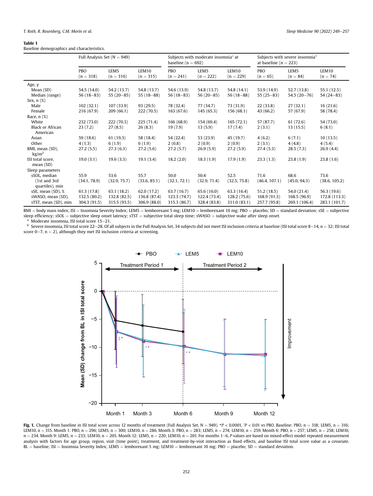#### <span id="page-5-0"></span>Table 1

Baseline demographics and characteristics.

|                                    | Full Analysis Set $(N = 949)$ |                                 |                      | baseline ( $n = 692$ ) | Subjects with moderate insomnia <sup>a</sup> at |                      | Subjects with severe insomnia <sup>b</sup><br>at baseline ( $n = 223$ ) |                                |                     |  |  |
|------------------------------------|-------------------------------|---------------------------------|----------------------|------------------------|-------------------------------------------------|----------------------|-------------------------------------------------------------------------|--------------------------------|---------------------|--|--|
|                                    | <b>PBO</b><br>$(n = 318)$     | LEM <sub>5</sub><br>$(n = 316)$ | LEM10<br>$(n = 315)$ | PBO<br>$(n = 241)$     | LEM <sub>5</sub><br>$(n = 222)$                 | LEM10<br>$(n = 229)$ | PBO<br>$(n = 65)$                                                       | LEM <sub>5</sub><br>$(n = 84)$ | LEM10<br>$(n = 74)$ |  |  |
| Age, y                             |                               |                                 |                      |                        |                                                 |                      |                                                                         |                                |                     |  |  |
| Mean (SD)                          | 54.5 (14.0)                   | 54.2 (13.7)                     | 54.8 (13.7)          | 54.6 (13.9)            | 54.8 (13.7)                                     | 54.8 (14.1)          | 53.9(14.9)                                                              | 52.7(13.8)                     | 55.1 (12.5)         |  |  |
| Median (range)                     | $56(18-83)$                   | $55(20-85)$                     | $55(18-88)$          | $56(18-83)$            | $56(20-85)$                                     | $56(18-88)$          | $55(25-83)$                                                             | $54.5(20-76)$                  | $54(24-83)$         |  |  |
| Sex, $n$ $(\%)$                    |                               |                                 |                      |                        |                                                 |                      |                                                                         |                                |                     |  |  |
| Male                               | 102(32.1)                     | 107(33.9)                       | 93(29.5)             | 78 (32.4)              | 77 (34.7)<br>73 (31.9)                          |                      | 22(33.8)                                                                | 27(32.1)                       | 16(21.6)            |  |  |
| Female                             | 216 (67.9)                    | 209 (66.1)                      | 222 (70.5)           | 163(67.6)              | 145 (65.3)                                      | 156 (68.1)           | 43 (66.2)                                                               | 57 (67.9)                      | 58 (78.4)           |  |  |
| Race, $n$ $(\%)$                   |                               |                                 |                      |                        |                                                 |                      |                                                                         |                                |                     |  |  |
| White                              | 232 (73.0)                    | 222 (70.3)                      | 225(71.4)            | 166 (68.9)             | 154 (69.4)                                      | 165(72.1)            | 57 (87.7)                                                               | 61 (72.6)                      | 54 (73.0)           |  |  |
| <b>Black or African</b>            | 23(7.2)                       | 27(8.5)                         | 26(8.3)              | 19(7.9)                | 13(5.9)                                         | 17(7.4)              | 2(3.1)                                                                  | 13(15.5)                       | 6(8.1)              |  |  |
| American                           |                               |                                 |                      |                        |                                                 |                      |                                                                         |                                |                     |  |  |
| Asian                              | 59 (18.6)                     | 61(19.3)                        | 58 (18.4)            | 54 (22.4)              | 53 (23.9)                                       | 45 (19.7)            | 4(6.2)                                                                  | 6(7.1)                         | 10(13.5)            |  |  |
| Other                              | 4(1.3)                        | 6(1.9)                          | 6(1.9)               | 2(0.8)                 | 2(0.9)                                          | 2(0.9)               | 2(3.1)                                                                  | 4(4.8)                         | 4(5.4)              |  |  |
| BMI, mean (SD),<br>$\text{kg/m}^2$ | 27.2(5.5)                     | 27.3(6.3)                       | 27.2(5.6)            | 27.2(5.7)              | 26.9(5.9)                                       | 27.2(5.9)            | 27.4(5.3)                                                               | 28.5(7.3)                      | 26.9(4.4)           |  |  |
| ISI total score,                   | 19.0(3.1)                     | 19.6(3.3)                       | 19.1(3.4)            | 18.2(2.0)              | 18.3(1.9)                                       | 17.9(1.9)            | 23.3(1.3)                                                               | 23.8(1.9)                      | 23.8(1.6)           |  |  |
| mean(SD)                           |                               |                                 |                      |                        |                                                 |                      |                                                                         |                                |                     |  |  |
| Sleep parameters                   |                               |                                 |                      |                        |                                                 |                      |                                                                         |                                |                     |  |  |
| sSOL, median                       | 55.9                          | 53.6                            | 55.7                 | 50.0                   | 50.4                                            | 52.5                 | 71.6                                                                    | 68.6                           | 73.6                |  |  |
| (1st and 3rd<br>quartiles), min    | (34.1, 78.9)                  | (32.9, 75.7)                    | (33.6, 85.1)         | (32.1, 72.1)           | (32.9, 71.4)                                    | (32.5, 75.8)         | (46.4, 107.1)                                                           | (45.0, 94.3)                   | (38.6, 105.2)       |  |  |
| sSE, mean (SD), %                  | 61.3(17.8)                    | 63.1 (18.2)                     | 62.0 (17.2)          | 63.7 (16.7)            | 65.6 (16.0)                                     | 63.3 (16.4)          | 51.2(18.5)                                                              | 54.0 (21.4)                    | 56.3 (19.6)         |  |  |
| sWASO, mean (SD),                  | 132.5 (80.2)                  | 132.8 (82.5)                    | 136.8 (87.4)         | 123.3 (74.7)           | 122.4 (73.4)                                    | 128.2 (75.6)         | 168.9 (91.3)                                                            | 168.5 (96.9)                   | 172.8 (113.3)       |  |  |
| sTST, mean (SD), min               | 304.3 (91.5)                  | 315.5 (93.5)                    | 306.9 (88.0)         | 315.3 (86.7)           | 328.4 (83.8)                                    | 311.0 (83.1)         | 257.7 (95.8)                                                            | 269.1 (106.4)                  | 283.1 (101.7)       |  |  |

 $BMI = body$  mass index;  $ISI = Insomnia$  Severity Index; LEM5 = lemborexant 5 mg; LEM10 = lemborexant 10 mg; PBO = placebo; SD = standard deviation; sSE = subjective sleep efficiency; sSOL = subjective sleep onset latency; sTST = subjective total sleep time; sWASO = subjective wake after sleep onset.  $a$  Moderate insomnia, ISI total score 15–21.

<span id="page-5-2"></span>

<span id="page-5-3"></span><span id="page-5-1"></span>b Severe insomnia, ISI total score 22–28. Of all subjects in the Full Analysis Set, 34 subjects did not meet ISI inclusion criteria at baseline (ISI total score 8–14, n = 32; ISI total score 8–14, n = 32; ISI total score  $0-7$ ,  $n = 2$ ), although they met ISI inclusion criteria at screening.



**Fig. 1.** Change from baseline in ISI total score across 12 months of treatment (Full Analysis Set, N = 949).  $\mathbb{P}$  < 0.0001,  $\mathbb{P}$  < 0.01 vs PBO. Baseline: PBO, n = 318; LEM5, n = 316;  $LEM10$ , n = 315. Month 1: PBO, n = 296; LEM5, n = 300; LEM10, n = 286. Month 3: PBO, n = 283; LEM5, n = 274; LEM10, n = 259. Month 6: PBO, n = 257; LEM5, n = 258; LEM10,  $n = 234$ . Month 9: LEM5,  $n = 233$ ; LEM10,  $n = 205$ . Month 12: LEM5,  $n = 220$ ; LEM10,  $n = 201$ . For months 1-6, P values are based on mixed-effect model repeated measurement analysis with factors for age group, region, visit (time point), treatment, and treatment-by-visit interaction as fixed effects, and baseline ISI total score value as a covariate. BL = baseline; ISI = Insomnia Severity Index; LEM5 = lemborexant 5 mg; LEM10 = lemborexant 10 mg; PBO = placebo; SD = standard deviation.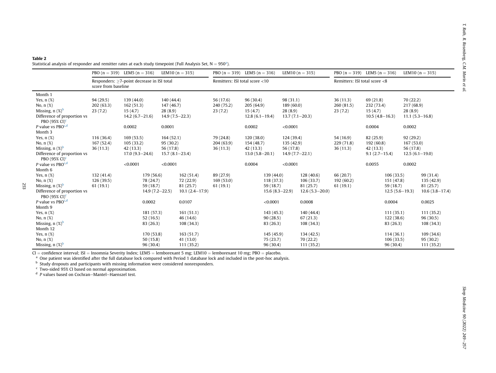#### <span id="page-6-0"></span>Table 2St[a](#page-6-1)tistical analysis of responder and remitter rates at each study timepoint (Full Analysis Set, N  $= 950^\circ$ ).

|                                                          | PBO $(n = 319)$ LEM5 $(n = 316)$                                  |                    |                    |            | LEM <sub>10</sub> ( $n = 315$ ) | PBO $(n = 319)$ LEM5 $(n = 316)$ |                    |                  |                  | LEM10 $(n = 315)$  | PBO $(n = 319)$ LEM5 $(n = 316)$ |                    |                  |                    | LEM10 $(n = 315)$  |
|----------------------------------------------------------|-------------------------------------------------------------------|--------------------|--------------------|------------|---------------------------------|----------------------------------|--------------------|------------------|------------------|--------------------|----------------------------------|--------------------|------------------|--------------------|--------------------|
|                                                          | Responders: ≥7-point decrease in ISI total<br>score from baseline |                    |                    |            |                                 | Remitters: ISI total score <10   |                    |                  |                  |                    | Remitters: ISI total score <8    |                    |                  |                    |                    |
| Month 1                                                  |                                                                   |                    |                    |            |                                 |                                  |                    |                  |                  |                    |                                  |                    |                  |                    |                    |
| Yes, $n$ $(\%)$                                          | 94(29.5)                                                          | 139 (44.0)         |                    | 140 (44.4) |                                 | 56 (17.6)                        | 96(30.4)           |                  | 98 (31.1)        |                    | 36(11.3)                         | 69 (21.8)          |                  | 70(22.2)           |                    |
| No, $n$ $(\%)$                                           | 202(63.3)                                                         | 162(51.3)          | 147(46.7)          |            | 240 (75.2)                      | 205(64.9)                        | 189 (60.0)         |                  |                  | 260(81.5)          | 232 (73.4)                       |                    | 217 (68.9)       |                    |                    |
| Missing, $n$ (%) <sup>b</sup>                            | 23(7.2)                                                           | 15(4.7)            | 28(8.9)            |            | 23(7.2)                         | 15(4.7)                          | 28(8.9)            |                  |                  | 23(7.2)            | 15(4.7)                          |                    | 28(8.9)          |                    |                    |
| Difference of proportion vs<br>PBO $(95\% \text{ CI})^c$ |                                                                   | $14.2(6.7-21.6)$   | $14.9(7.5-22.3)$   |            |                                 |                                  |                    | $12.8(6.1-19.4)$ |                  | $13.7(7.1 - 20.3)$ |                                  | $10.5(4.8 - 16.3)$ |                  | $11.1(5.3 - 16.8)$ |                    |
| P value vs PBO $c,d$                                     |                                                                   | 0.0002             |                    | 0.0001     |                                 |                                  | 0.0002             |                  | < 0.0001         |                    |                                  | 0.0004             |                  | 0.0002             |                    |
| Month 3                                                  |                                                                   |                    |                    |            |                                 |                                  |                    |                  |                  |                    |                                  |                    |                  |                    |                    |
| Yes, $n$ $(\%)$                                          | 116(36.4)                                                         | 169(53.5)          |                    | 164(52.1)  |                                 | 79 (24.8)                        | 120(38.0)          |                  | 124 (39.4)       |                    | 54 (16.9)                        | 82(25.9)           |                  | 92(29.2)           |                    |
| No, $n$ $(\%)$                                           | 167 (52.4)                                                        | 105(33.2)          | 95(30.2)           |            |                                 | 204(63.9)                        | 154 (48.7)         |                  | 135 (42.9)       |                    | 229(71.8)                        | 192(60.8)          |                  | 167(53.0)          |                    |
| Missing, $n$ (%) <sup>b</sup>                            | 36(11.3)                                                          | 42(13.3)           | 56 (17.8)          |            |                                 | 36(11.3)                         | 42(13.3)           |                  | 56 (17.8)        |                    | 36(11.3)                         | 42(13.3)           |                  | 56 (17.8)          |                    |
| Difference of proportion vs<br>PBO $(95\% \text{ CI})^c$ |                                                                   | $17.0(9.3 - 24.6)$ | $15.7(8.1 - 23.4)$ |            |                                 |                                  | $13.0(5.8 - 20.1)$ |                  | $14.9(7.7-22.1)$ |                    |                                  | $9.1(2.7-15.4)$    |                  | $12.5(6.1-19.0)$   |                    |
| P value vs PBO <sup>c,d</sup>                            |                                                                   | < 0.0001           |                    | < 0.0001   |                                 |                                  | 0.0004             |                  | < 0.0001         |                    |                                  | 0.0055             |                  | 0.0002             |                    |
| Month 6                                                  |                                                                   |                    |                    |            |                                 |                                  |                    |                  |                  |                    |                                  |                    |                  |                    |                    |
| Yes, $n$ $(\%)$                                          | 132(41.4)                                                         |                    | 179 (56.6)         |            | 162(51.4)                       | 89 (27.9)                        |                    | 139 (44.0)       |                  | 128(40.6)          | 66 (20.7)                        |                    | 106(33.5)        |                    | 99 (31.4)          |
| No, $n$ $(\%)$                                           | 126 (39.5)                                                        |                    | 78 (24.7)          |            | 72 (22.9)                       | 169(53.0)                        |                    | 118 (37.3)       | 106(33.7)        |                    | 192(60.2)                        | 151 (47.8)         |                  |                    | 135 (42.9)         |
| Missing, $n$ (%) <sup>b</sup>                            | 61(19.1)                                                          |                    | 59(18.7)           |            | 81 (25.7)                       | 61(19.1)                         |                    | 59 (18.7)        | 81(25.7)         |                    | 61(19.1)                         | 59(18.7)           |                  |                    | 81 (25.7)          |
| Difference of proportion vs<br>PBO (95% CI) $\text{C}$   |                                                                   |                    | $14.9(7.2 - 22.5)$ |            | $10.1(2.4 - 17.9)$              |                                  |                    | $15.6(8.3-22.9)$ |                  | $12.6(5.3 - 20.0)$ |                                  |                    | $12.5(5.6-19.3)$ |                    | $10.6(3.8 - 17.4)$ |
| P value vs PBO <sup>c,d</sup>                            |                                                                   |                    | 0.0002             |            | 0.0107                          |                                  |                    | < 0.0001         |                  | 0.0008             |                                  |                    | 0.0004           |                    | 0.0025             |
| Month 9                                                  |                                                                   |                    |                    |            |                                 |                                  |                    |                  |                  |                    |                                  |                    |                  |                    |                    |
| Yes, $n$ $(\%)$                                          |                                                                   |                    | 181 (57.3)         |            | 161(51.1)                       |                                  |                    | 143 (45.3)       |                  | 140 (44.4)         |                                  |                    | 111(35.1)        |                    | 111(35.2)          |
| No, n (%)                                                |                                                                   |                    | 52(16.5)           |            | 46(14.6)                        |                                  |                    | 90(28.5)         |                  | 67(21.3)           |                                  |                    | 122(38.6)        |                    | 96(30.5)           |
| Missing, $n$ $(\%)^b$                                    |                                                                   |                    | 83 (26.3)          |            | 108 (34.3)                      |                                  |                    | 83 (26.3)        |                  | 108 (34.3)         |                                  |                    | 83 (26.3)        |                    | 108 (34.3)         |
| Month 12                                                 |                                                                   |                    |                    |            |                                 |                                  |                    |                  |                  |                    |                                  |                    |                  |                    |                    |
| Yes, $n$ $(\%)$                                          |                                                                   |                    | 170 (53.8)         |            | 163(51.7)                       |                                  |                    | 145 (45.9)       |                  | 134 (42.5)         |                                  |                    | 114(36.1)        |                    | 109(34.6)          |
| No, $n$ $(\%)$                                           |                                                                   |                    | 50(15.8)           |            | 41(13.0)                        |                                  |                    | 75 (23.7)        |                  | 70 (22.2)          |                                  |                    | 106(33.5)        |                    | 95 (30.2)          |
| Missing, $n$ $(\%)^b$                                    |                                                                   |                    | 96(30.4)           |            | 111(35.2)                       |                                  |                    | 96(30.4)         |                  | 111(35.2)          |                                  |                    | 96 (30.4)        |                    | 111(35.2)          |

 $CI =$  confidence interval; ISI = Insomnia Severity Index; LEM5 = lemborexant 5 mg; LEM10 = lemborexant 10 mg; PBO = placebo.<br><sup>a</sup> One patient was identified after the full database lock compared with Period 1 database lock

<span id="page-6-4"></span><span id="page-6-3"></span><span id="page-6-2"></span><span id="page-6-1"></span> $\textdegree$  Two-sided 95% CI based on normal approximation.

<sup>d</sup> P values based on Cochran–Mantel–Haenszel test.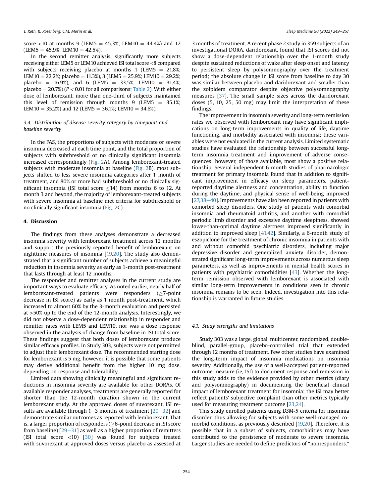score <10 at months 9 (LEM5 = 45.3%; LEM10 = 44.4%) and 12  $(LEM5 = 45.9\%; LEM10 = 42.5\%).$ 

In the second remitter analysis, significantly more subjects receiving either LEM5 or LEM10 achieved ISI total score <8 compared with subjects receiving placebo at months 1 (LEM5 =  $21.8\%$ ; LEM10 = 22.2%; placebo = 11.3%), 3 (LEM5 = 25.9%; LEM10 = 29.2%; placebo = 16.9%), and 6 (LEM5 = 33.5%; LEM10 = 31.4%; placebo =  $20.7\%$ ) (P < 0.01 for all comparisons; [Table 2\)](#page-6-0). With either dose of lemborexant, more than one-third of subjects maintained this level of remission through months 9 (LEM5  $=$  35.1%; LEM10 = 35.2%) and 12 (LEM5 = 36.1%; LEM10 = 34.6%).

#### 3.4. Distribution of disease severity category by timepoint and baseline severity

In the FAS, the proportions of subjects with moderate or severe insomnia decreased at each time point, and the total proportion of subjects with subthreshold or no clinically significant insomnia increased correspondingly ([Fig. 2A](#page-8-0)). Among lemborexant-treated subjects with moderate insomnia at baseline [\(Fig. 2](#page-8-0)B), most subjects shifted to less severe insomnia categories after 1 month of treatment, and 80% or more had subthreshold or no clinically significant insomnia (ISI total score  $\leq$ 14) from months 6 to 12. At month 3 and beyond, the majority of lemborexant-treated subjects with severe insomnia at baseline met criteria for subthreshold or no clinically significant insomnia ([Fig. 2C](#page-8-0)).

#### 4. Discussion

The findings from these analyses demonstrate a decreased insomnia severity with lemborexant treatment across 12 months and support the previously reported benefit of lemborexant on nighttime measures of insomnia [\[19,](#page-9-8)[20](#page-9-9)]. The study also demonstrated that a significant number of subjects achieve a meaningful reduction in insomnia severity as early as 1-month post-treatment that lasts through at least 12 months.

The responder and remitter analyses in the current study are important ways to evaluate efficacy. As noted earlier, nearly half of lemborexant-treated patients were responders  $(≥7-point$ decrease in ISI score) as early as 1 month post-treatment, which increased to almost 60% by the 3-month evaluation and persisted at >50% up to the end of the 12-month analysis. Interestingly, we did not observe a dose-dependent relationship in responder and remitter rates with LEM5 and LEM10, nor was a dose response observed in the analysis of change from baseline in ISI total score. These findings suggest that both doses of lemborexant produce similar efficacy profiles. In Study 303, subjects were not permitted to adjust their lemborexant dose. The recommended starting dose for lemborexant is 5 mg, however, it is possible that some patients may derive additional benefit from the higher 10 mg dose, depending on response and tolerability.

Limited data showing clinically meaningful and significant reductions in insomnia severity are available for other DORAs. Of available responder analyses, treatments are generally reported for shorter than the 12-month duration shown in the current lemborexant study. At the approved doses of suvorexant, ISI results are available through  $1-3$  months of treatment  $[29-32]$  $[29-32]$  $[29-32]$  $[29-32]$  $[29-32]$  and demonstrate similar outcomes as reported with lemborexant. That is, a larger proportion of responders ( $\geq$ 6-point decrease in ISI score from baseline)  $[29-31]$  $[29-31]$  $[29-31]$  $[29-31]$  as well as a higher proportion of remitters (ISI total score  $\langle 10 \rangle$   $\langle 30 \rangle$  $\langle 30 \rangle$  $\langle 30 \rangle$  was found for subjects treated with suvorexant at approved doses versus placebo as assessed at 3 months of treatment. A recent phase 2 study in 359 subjects of an investigational DORA, daridorexant, found that ISI scores did not show a dose-dependent relationship over the 1-month study despite sustained reductions of wake after sleep onset and latency to persistent sleep by polysomnography over the treatment period; the absolute change in ISI score from baseline to day 30 was similar between placebo and daridorexant and smaller than the zolpidem comparator despite objective polysomnography measures [[37](#page-10-13)]. The small sample sizes across the daridorexant doses (5, 10, 25, 50 mg) may limit the interpretation of these findings.

The improvement in insomnia severity and long-term remission rates we observed with lemborexant may have significant implications on long-term improvements in quality of life, daytime functioning, and morbidity associated with insomnia; these variables were not evaluated in the current analysis. Limited systematic studies have evaluated the relationship between successful longterm insomnia treatment and improvement of adverse consequences; however, of those available, most show a positive relationship. Several independent 6-month studies of pharmacologic treatment for primary insomnia found that in addition to significant improvement in efficacy on sleep parameters, patientreported daytime alertness and concentration, ability to function during the daytime, and physical sense of well-being improved  $[27,38-40]$  $[27,38-40]$  $[27,38-40]$  $[27,38-40]$  $[27,38-40]$  $[27,38-40]$ . Improvements have also been reported in patients with comorbid sleep disorders. One study of patients with comorbid insomnia and rheumatoid arthritis, and another with comorbid periodic limb disorder and excessive daytime sleepiness, showed lower-than-optimal daytime alertness improved significantly in addition to improved sleep [[41,](#page-10-15)[42\]](#page-10-16). Similarly, a 6-month study of eszopiclone for the treatment of chronic insomnia in patients with and without comorbid psychiatric disorders, including major depressive disorder and generalized anxiety disorder, demonstrated significant long-term improvements across numerous sleep parameters, as well as improvements in mental health scores in patients with psychiatric comorbidities [[43](#page-10-17)]. Whether the longterm remission observed with lemborexant is associated with similar long-term improvements in conditions seen in chronic insomnia remains to be seen. Indeed, investigation into this relationship is warranted in future studies.

#### 4.1. Study strengths and limitations

Study 303 was a large, global, multicenter, randomized, doubleblind, parallel-group, placebo-controlled trial that extended through 12 months of treatment. Few other studies have examined the long-term impact of insomnia medications on insomnia severity. Additionally, the use of a well-accepted patient-reported outcome measure (ie, ISI) to document response and remission in this study adds to the evidence provided by other metrics (diary and polysomnography) in documenting the beneficial clinical impact of lemborexant treatment for insomnia; the ISI may better reflect patients' subjective complaint than other metrics typically used for measuring treatment outcome [\[23,](#page-10-1)[24\]](#page-10-2).

This study enrolled patients using DSM-5 criteria for insomnia disorder, thus allowing for subjects with some well-managed co-morbid conditions, as previously described [\[19](#page-9-8),[20](#page-9-9)]. Therefore, it is possible that in a subset of subjects, comorbidities may have contributed to the persistence of moderate to severe insomnia. Larger studies are needed to define predictors of "nonresponders."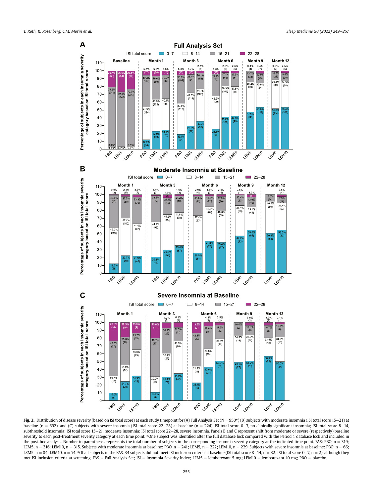<span id="page-8-0"></span>

Fig. 2. Distribution of disease severity (based on ISI total score) at each study timepoint for (A) Full Analysis Set (N = 950\*) (B) subjects with moderate insomnia (ISI total score 15-21) at baseline (n = 692), and (C) subjects with severe insomnia (ISI total score 22-28) at baseline (n = 224). ISI total score 0-7, no clinically significant insomnia; ISI total score 8-14, subthreshold insomnia; ISI total score 15-21, moderate insomnia; ISI total score 22-28, severe insomnia. Panels B and C represent shift from moderate or severe (respectively) baseline severity to each post-treatment severity category at each time point. \*One subject was identified after the full database lock compared with the Period 1 database lock and included in the post-hoc analysis. Number in parentheses represents the total number of subjects in the corresponding insomnia severity category at the indicated time point. FAS: PBO, n = 319; LEM5, n = 316; LEM10, n = 315. Subjects with moderate insomnia at baseline: PBO, n = 241; LEM5, n = 222; LEM10, n = 229. Subjects with severe insomnia at baseline: PBO, n = 66; LEM5, n = 84; LEM10, n = 74. \*Of all subjects in the FAS, 34 subjects did not meet ISI inclusion criteria at baseline (ISI total score 8-14, n = 32; ISI total score 0-7, n = 2), although they met ISI inclusion criteria at screening. FAS = Full Analysis Set; ISI = Insomnia Severity Index; LEM5 = lemborexant 5 mg; LEM10 = lemborexant 10 mg; PBO = placebo.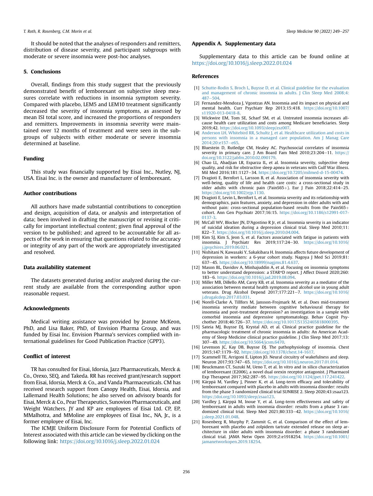It should be noted that the analyses of responders and remitters, distribution of disease severity, and participant subgroups with moderate or severe insomnia were post-hoc analyses.

#### 5. Conclusions

Overall, findings from this study suggest that the previously demonstrated benefit of lemborexant on subjective sleep measures correlate with reductions in insomnia symptom severity. Compared with placebo, LEM5 and LEM10 treatment significantly decreased the severity of insomnia symptoms, as assessed by mean ISI total score, and increased the proportions of responders and remitters. Improvements in insomnia severity were maintained over 12 months of treatment and were seen in the subgroups of subjects with either moderate or severe insomnia determined at baseline.

#### Funding

This study was financially supported by Eisai Inc., Nutley, NJ, USA. Eisai Inc. is the owner and manufacturer of lemborexant.

#### Author contributions

All authors have made substantial contributions to conception and design, acquisition of data, or analysis and interpretation of data; been involved in drafting the manuscript or revising it critically for important intellectual content; given final approval of the version to be published; and agreed to be accountable for all aspects of the work in ensuring that questions related to the accuracy or integrity of any part of the work are appropriately investigated and resolved.

#### Data availability statement

The datasets generated during and/or analyzed during the current study are available from the corresponding author upon reasonable request.

#### Acknowledgments

Medical writing assistance was provided by Jeanne McKeon, PhD, and Lisa Baker, PhD, of Envision Pharma Group, and was funded by Eisai Inc. Envision Pharma's services complied with international guidelines for Good Publication Practice (GPP3).

#### Conflict of interest

TR has consulted for Eisai, Idorsia, Jazz Pharmaceuticals, Merck & Co., Orexo, SEQ, and Takeda. RR has received grant/research support from Eisai, Idorsia, Merck & Co., and Vanda Pharmaceuticals. CM has received research support from Canopy Health, Eisai, Idorsia, and Lallemand Health Solutions; he also served on advisory boards for Eisai, Merck & Co., Pear Therapeutics, Sunovion Pharmaceuticals, and Weight Watchers. JY and KP are employees of Eisai Ltd. CP, EP, MMalhotra, and MMoline are employees of Eisai Inc., NA, Jr., is a former employee of Eisai, Inc.

The ICMJE Uniform Disclosure Form for Potential Conflicts of Interest associated with this article can be viewed by clicking on the following link: <https://doi.org/10.1016/j.sleep.2022.01.024>

#### Appendix A. Supplementary data

Supplementary data to this article can be found online at <https://doi.org/10.1016/j.sleep.2022.01.024>

#### References

- <span id="page-9-0"></span>[1] [Schutte-Rodin S, Broch L, Buysse D, et al. Clinical guideline for the evaluation](http://refhub.elsevier.com/S1389-9457(22)00034-X/sref1) [and management of chronic insomnia in adults. J Clin Sleep Med 2008;4:](http://refhub.elsevier.com/S1389-9457(22)00034-X/sref1) [487](http://refhub.elsevier.com/S1389-9457(22)00034-X/sref1)-[504](http://refhub.elsevier.com/S1389-9457(22)00034-X/sref1)
- <span id="page-9-1"></span>[2] Fernandez-Mendoza J, Vgontzas AN. Insomnia and its impact on physical and mental health. Curr Psychiatr Rep 2013;15:418. [https://doi.org/10.1007/](https://doi.org/10.1007/s11920-013-0418-8) [s11920-013-0418-8.](https://doi.org/10.1007/s11920-013-0418-8)
- [3] Wickwire EM, Tom SE, Scharf SM, et al. Untreated insomnia increases allcause health care utilization and costs among Medicare beneficiaries. Sleep 2019;42. [https://doi.org/10.1093/sleep/zsz007.](https://doi.org/10.1093/sleep/zsz007)
- [4] [Anderson LH, Whitebird RR, Schultz J, et al. Healthcare utilization and costs in](http://refhub.elsevier.com/S1389-9457(22)00034-X/sref4) [persons with insomnia in a managed care population. Am J Manag Care](http://refhub.elsevier.com/S1389-9457(22)00034-X/sref4) [2014;20:e157](http://refhub.elsevier.com/S1389-9457(22)00034-X/sref4)e[e65.](http://refhub.elsevier.com/S1389-9457(22)00034-X/sref4)
- <span id="page-9-2"></span>[5] Bluestein D, Rutledge CM, Healey AC. Psychosocial correlates of insomnia severity in primary care. J Am Board Fam Med 2010;23:204-11. [https://](https://doi.org/10.3122/jabfm.2010.02.090179) [doi.org/10.3122/jabfm.2010.02.090179.](https://doi.org/10.3122/jabfm.2010.02.090179)
- [6] Chao LL, Abadjian LR, Esparza IL, et al. Insomnia severity, subjective sleep quality, and risk for obstructive sleep apnea in veterans with Gulf War illness. Mil Med 2016;181:1127-34. [https://doi.org/10.7205/milmed-d-15-00474.](https://doi.org/10.7205/milmed-d-15-00474)
- [7] Dragioti E, Bernfort L, Larsson B, et al. Association of insomnia severity with well-being, quality of life and health care costs: a cross-sectional study in older adults with chronic pain (PainS65+). Eur J Pain 2018;22:414-25. <https://doi.org/10.1002/ejp.1130>.
- [8] Dragioti E, Levin L, Bernfort L, et al. Insomnia severity and its relationship with demographics, pain features, anxiety, and depression in older adults with and without pain: cross-sectional population-based results from the PainS65+ cohort. Ann Gen Psychiatr 2017;16:15. [https://doi.org/10.1186/s12991-017-](https://doi.org/10.1186/s12991-017-0137-3) 0137-
- [9] McCall WV, Blocker JN, D'Agostino R Jr, et al. Insomnia severity is an indicator of suicidal ideation during a depression clinical trial. Sleep Med 2010;11: 822-7. [https://doi.org/10.1016/j.sleep.2010.04.004.](https://doi.org/10.1016/j.sleep.2010.04.004)
- [10] Kim SJ, Kim S, Jeon S, et al. Factors associated with fatigue in patients with insomnia. J Psychiatr Res 2019;117:24-30. [https://doi.org/10.1016/](https://doi.org/10.1016/j.jpsychires.2019.06.021) jpsychires.2019.06.021
- [11] Nishitani N, Kawasaki Y, Sakakibara H. Insomnia affects future development of depression in workers: a 6-year cohort study. Nagoya J Med Sci 2019;81: 637e45. <https://doi.org/10.18999/nagjms.81.4.637>.
- [12] Mason BL, Davidov A, Minhajuddin A, et al. Focusing on insomnia symptoms to better understand depression: a STAR\*D report. J Affect Disord 2020;260: 183e6. [https://doi.org/10.1016/j.jad.2019.08.094.](https://doi.org/10.1016/j.jad.2019.08.094)
- [13] Miller MB, DiBello AM, Carey KB, et al. Insomnia severity as a mediator of the association between mental health symptoms and alcohol use in young adult veterans. Drug Alcohol Depend 2017;177:221-7. [https://doi.org/10.1016/](https://doi.org/10.1016/j.drugalcdep.2017.03.031) [j.drugalcdep.2017.03.031](https://doi.org/10.1016/j.drugalcdep.2017.03.031).
- <span id="page-9-3"></span>[14] Norell-Clarke A, Tillfors M, Jansson-Frojmark M, et al. Does mid-treatment insomnia severity mediate between cognitive behavioural therapy for insomnia and post-treatment depression? an investigation in a sample with comorbid insomnia and depressive symptomatology. Behav Cognit Psychother 2018;46:726-37. <https://doi.org/10.1017/S1352465818000395>.
- <span id="page-9-4"></span>[15] Sateia MJ, Buysse DJ, Krystal AD, et al. Clinical practice guideline for the pharmacologic treatment of chronic insomnia in adults: An American Academy of Sleep Medicine clinical practice guideline. J Clin Sleep Med 2017;13: 307-49. [https://doi.org/10.5664/jcsm.6470.](https://doi.org/10.5664/jcsm.6470)
- <span id="page-9-5"></span>[16] Levenson JC, Kay DB, Buysse DJ. The pathophysiology of insomnia. Chest 2015;147:1179-92. https://doi.org/10.1378/chest.14-1617
- <span id="page-9-6"></span>[17] Scammell TE, Arrigoni E, Lipton JO. Neural circuitry of wakefulness and sleep. Neuron 2017;93:747-65. <https://doi.org/10.1016/j.neuron.2017.01.014>.
- <span id="page-9-7"></span>[18] Beuckmann CT, Suzuki M, Ueno T, et al. In vitro and in silico characterization of lemborexant (E2006), a novel dual orexin receptor antagonist. J Pharmacol Exp Therapeut 2017;362:287-95. [https://doi.org/10.1124/jpet.117.241422.](https://doi.org/10.1124/jpet.117.241422)
- <span id="page-9-8"></span>[19] Kärppä M, Yardley J, Pinner K, et al. Long-term efficacy and tolerability of lemborexant compared with placebo in adults with insomnia disorder: results from the phase 3 randomized clinical trial SUNRISE 2. Sleep 2020;43:zsaa123. [https://doi.org/10.1093/sleep/zsaa123.](https://doi.org/10.1093/sleep/zsaa123)
- <span id="page-9-9"></span>[20] Yardley J, Kärppä M, Inoue Y, et al. Long-term effectiveness and safety of lemborexant in adults with insomnia disorder: results from a phase 3 randomized clinical trial. Sleep Med 2021;80:333-42. [https://doi.org/10.1016/](https://doi.org/10.1016/j.sleep.2021.01.048) [j.sleep.2021.01.048.](https://doi.org/10.1016/j.sleep.2021.01.048)
- <span id="page-9-10"></span>[21] Rosenberg R, Murphy P, Zammit G, et al. Comparison of the effect of lemborexant with placebo and zolpidem tartrate extended release on sleep architecture in older adults with insomnia disorder: a phase 3 randomized clinical trial. JAMA Netw Open 2019;2:e1918254. [https://doi.org/10.1001/](https://doi.org/10.1001/jamanetworkopen.2019.18254) [jamanetworkopen.2019.18254.](https://doi.org/10.1001/jamanetworkopen.2019.18254)